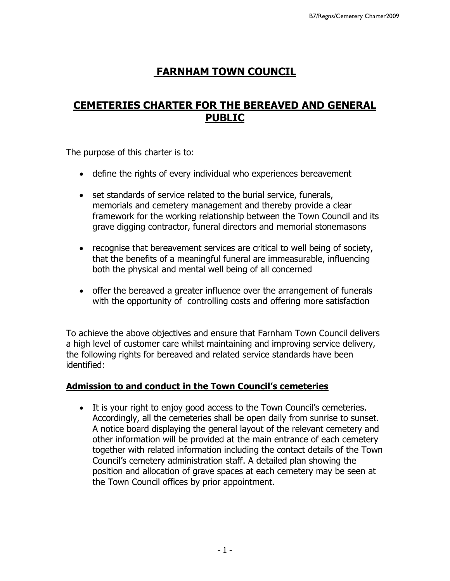# **FARNHAM TOWN COUNCIL**

## **CEMETERIES CHARTER FOR THE BEREAVED AND GENERAL PUBLIC**

The purpose of this charter is to:

- define the rights of every individual who experiences bereavement
- set standards of service related to the burial service, funerals, memorials and cemetery management and thereby provide a clear framework for the working relationship between the Town Council and its grave digging contractor, funeral directors and memorial stonemasons
- recognise that bereavement services are critical to well being of society, that the benefits of a meaningful funeral are immeasurable, influencing both the physical and mental well being of all concerned
- offer the bereaved a greater influence over the arrangement of funerals with the opportunity of controlling costs and offering more satisfaction

To achieve the above objectives and ensure that Farnham Town Council delivers a high level of customer care whilst maintaining and improving service delivery, the following rights for bereaved and related service standards have been identified:

#### **Admission to and conduct in the Town Council's cemeteries**

• It is your right to enjoy good access to the Town Council's cemeteries. Accordingly, all the cemeteries shall be open daily from sunrise to sunset. A notice board displaying the general layout of the relevant cemetery and other information will be provided at the main entrance of each cemetery together with related information including the contact details of the Town Council's cemetery administration staff. A detailed plan showing the position and allocation of grave spaces at each cemetery may be seen at the Town Council offices by prior appointment.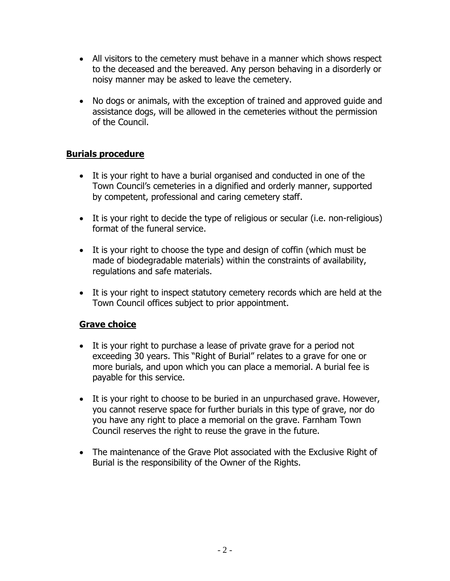- All visitors to the cemetery must behave in a manner which shows respect to the deceased and the bereaved. Any person behaving in a disorderly or noisy manner may be asked to leave the cemetery.
- No dogs or animals, with the exception of trained and approved guide and assistance dogs, will be allowed in the cemeteries without the permission of the Council.

## **Burials procedure**

- It is your right to have a burial organised and conducted in one of the Town Council's cemeteries in a dignified and orderly manner, supported by competent, professional and caring cemetery staff.
- It is your right to decide the type of religious or secular (i.e. non-religious) format of the funeral service.
- It is your right to choose the type and design of coffin (which must be made of biodegradable materials) within the constraints of availability, regulations and safe materials.
- It is your right to inspect statutory cemetery records which are held at the Town Council offices subject to prior appointment.

## **Grave choice**

- It is your right to purchase a lease of private grave for a period not exceeding 30 years. This "Right of Burial" relates to a grave for one or more burials, and upon which you can place a memorial. A burial fee is payable for this service.
- It is your right to choose to be buried in an unpurchased grave. However, you cannot reserve space for further burials in this type of grave, nor do you have any right to place a memorial on the grave. Farnham Town Council reserves the right to reuse the grave in the future.
- The maintenance of the Grave Plot associated with the Exclusive Right of Burial is the responsibility of the Owner of the Rights.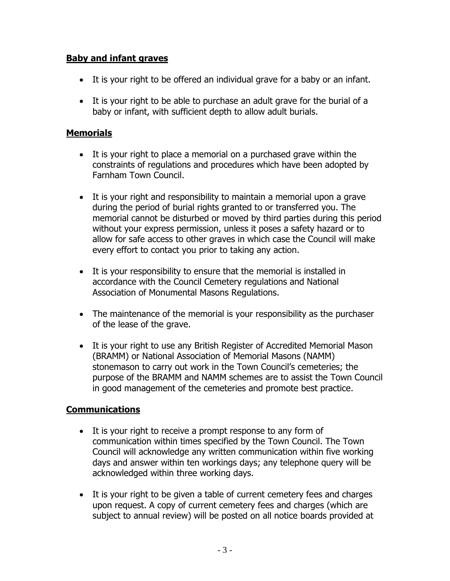## **Baby and infant graves**

- It is your right to be offered an individual grave for a baby or an infant.
- It is your right to be able to purchase an adult grave for the burial of a baby or infant, with sufficient depth to allow adult burials.

## **Memorials**

- It is your right to place a memorial on a purchased grave within the constraints of regulations and procedures which have been adopted by Farnham Town Council.
- It is your right and responsibility to maintain a memorial upon a grave during the period of burial rights granted to or transferred you. The memorial cannot be disturbed or moved by third parties during this period without your express permission, unless it poses a safety hazard or to allow for safe access to other graves in which case the Council will make every effort to contact you prior to taking any action.
- It is your responsibility to ensure that the memorial is installed in accordance with the Council Cemetery regulations and National Association of Monumental Masons Regulations.
- The maintenance of the memorial is your responsibility as the purchaser of the lease of the grave.
- It is your right to use any British Register of Accredited Memorial Mason (BRAMM) or National Association of Memorial Masons (NAMM) stonemason to carry out work in the Town Council's cemeteries; the purpose of the BRAMM and NAMM schemes are to assist the Town Council in good management of the cemeteries and promote best practice.

## **Communications**

- It is your right to receive a prompt response to any form of communication within times specified by the Town Council. The Town Council will acknowledge any written communication within five working days and answer within ten workings days; any telephone query will be acknowledged within three working days.
- It is your right to be given a table of current cemetery fees and charges upon request. A copy of current cemetery fees and charges (which are subject to annual review) will be posted on all notice boards provided at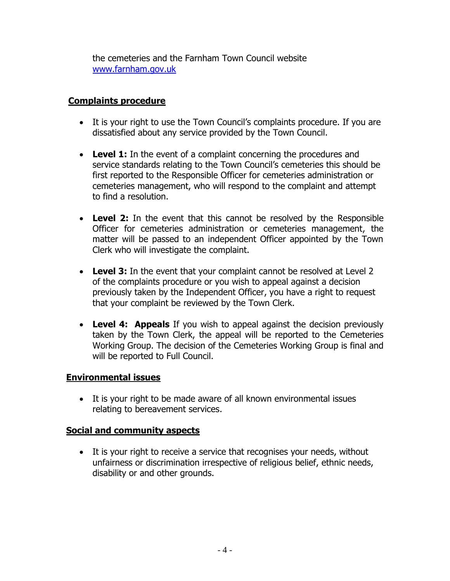the cemeteries and the Farnham Town Council website [www.farnham.gov.uk](http://www.farnham.gov.uk/)

## **Complaints procedure**

- It is your right to use the Town Council's complaints procedure. If you are dissatisfied about any service provided by the Town Council.
- Level 1: In the event of a complaint concerning the procedures and service standards relating to the Town Council's cemeteries this should be first reported to the Responsible Officer for cemeteries administration or cemeteries management, who will respond to the complaint and attempt to find a resolution.
- **Level 2:** In the event that this cannot be resolved by the Responsible Officer for cemeteries administration or cemeteries management, the matter will be passed to an independent Officer appointed by the Town Clerk who will investigate the complaint.
- **Level 3:** In the event that your complaint cannot be resolved at Level 2 of the complaints procedure or you wish to appeal against a decision previously taken by the Independent Officer, you have a right to request that your complaint be reviewed by the Town Clerk.
- **Level 4: Appeals** If you wish to appeal against the decision previously taken by the Town Clerk, the appeal will be reported to the Cemeteries Working Group. The decision of the Cemeteries Working Group is final and will be reported to Full Council.

#### **Environmental issues**

 It is your right to be made aware of all known environmental issues relating to bereavement services.

## **Social and community aspects**

• It is your right to receive a service that recognises your needs, without unfairness or discrimination irrespective of religious belief, ethnic needs, disability or and other grounds.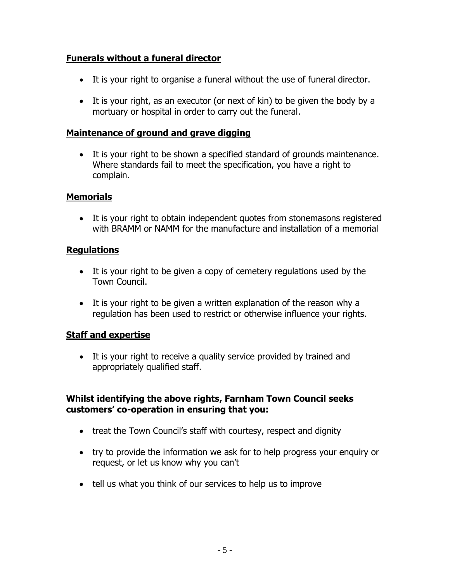## **Funerals without a funeral director**

- It is your right to organise a funeral without the use of funeral director.
- It is your right, as an executor (or next of kin) to be given the body by a mortuary or hospital in order to carry out the funeral.

#### **Maintenance of ground and grave digging**

 It is your right to be shown a specified standard of grounds maintenance. Where standards fail to meet the specification, you have a right to complain.

## **Memorials**

• It is your right to obtain independent quotes from stonemasons registered with BRAMM or NAMM for the manufacture and installation of a memorial

## **Regulations**

- It is your right to be given a copy of cemetery regulations used by the Town Council.
- It is your right to be given a written explanation of the reason why a regulation has been used to restrict or otherwise influence your rights.

#### **Staff and expertise**

• It is your right to receive a quality service provided by trained and appropriately qualified staff.

## **Whilst identifying the above rights, Farnham Town Council seeks customers' co-operation in ensuring that you:**

- treat the Town Council's staff with courtesy, respect and dignity
- try to provide the information we ask for to help progress your enquiry or request, or let us know why you can't
- tell us what you think of our services to help us to improve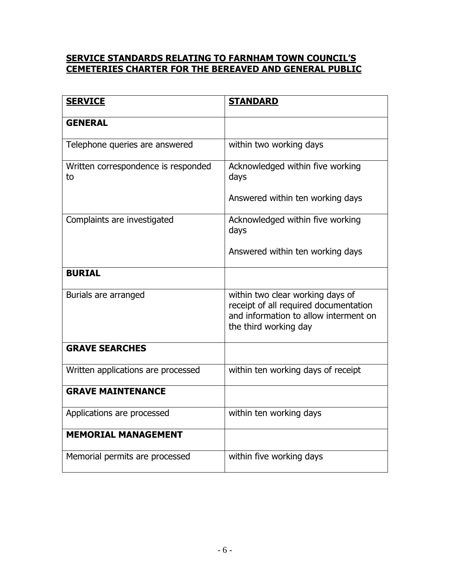#### **SERVICE STANDARDS RELATING TO FARNHAM TOWN COUNCIL'S CEMETERIES CHARTER FOR THE BEREAVED AND GENERAL PUBLIC**

| <b>SERVICE</b>                            | <b>STANDARD</b>                                                                                                                             |
|-------------------------------------------|---------------------------------------------------------------------------------------------------------------------------------------------|
| <b>GENERAL</b>                            |                                                                                                                                             |
| Telephone queries are answered            | within two working days                                                                                                                     |
| Written correspondence is responded<br>to | Acknowledged within five working<br>days                                                                                                    |
|                                           | Answered within ten working days                                                                                                            |
| Complaints are investigated               | Acknowledged within five working<br>days                                                                                                    |
|                                           | Answered within ten working days                                                                                                            |
| <b>BURIAL</b>                             |                                                                                                                                             |
| Burials are arranged                      | within two clear working days of<br>receipt of all required documentation<br>and information to allow interment on<br>the third working day |
| <b>GRAVE SEARCHES</b>                     |                                                                                                                                             |
| Written applications are processed        | within ten working days of receipt                                                                                                          |
| <b>GRAVE MAINTENANCE</b>                  |                                                                                                                                             |
| Applications are processed                | within ten working days                                                                                                                     |
| <b>MEMORIAL MANAGEMENT</b>                |                                                                                                                                             |
| Memorial permits are processed            | within five working days                                                                                                                    |